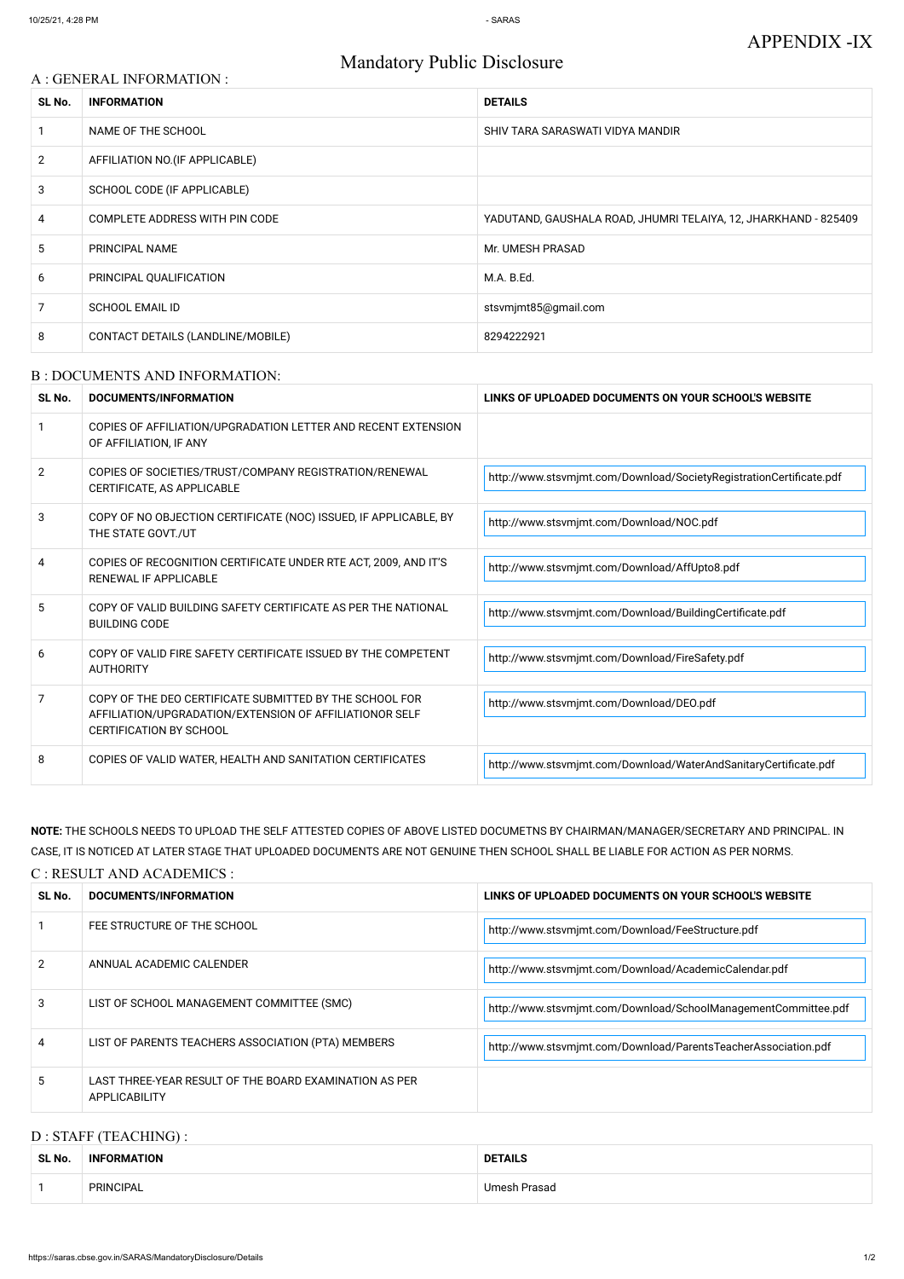# Mandatory Public Disclosure

## A : GENERAL INFORMATION :

| SL No.         | <b>INFORMATION</b>                | <b>DETAILS</b>                                                  |
|----------------|-----------------------------------|-----------------------------------------------------------------|
|                | NAME OF THE SCHOOL                | SHIV TARA SARASWATI VIDYA MANDIR                                |
| $\overline{2}$ | AFFILIATION NO. (IF APPLICABLE)   |                                                                 |
| 3              | SCHOOL CODE (IF APPLICABLE)       |                                                                 |
| 4              | COMPLETE ADDRESS WITH PIN CODE    | YADUTAND, GAUSHALA ROAD, JHUMRI TELAIYA, 12, JHARKHAND - 825409 |
| 5              | PRINCIPAL NAME                    | Mr. UMESH PRASAD                                                |
| 6              | PRINCIPAL QUALIFICATION           | M.A. B.Ed.                                                      |
| 7              | <b>SCHOOL EMAIL ID</b>            | stsvmjmt85@gmail.com                                            |
| 8              | CONTACT DETAILS (LANDLINE/MOBILE) | 8294222921                                                      |

#### B : DOCUMENTS AND INFORMATION:

| SL No.         | DOCUMENTS/INFORMATION                                                                                                                                | LINKS OF UPLOADED DOCUMENTS ON YOUR SCHOOL'S WEBSITE                |  |
|----------------|------------------------------------------------------------------------------------------------------------------------------------------------------|---------------------------------------------------------------------|--|
|                | COPIES OF AFFILIATION/UPGRADATION LETTER AND RECENT EXTENSION<br>OF AFFILIATION, IF ANY                                                              |                                                                     |  |
| $\overline{2}$ | COPIES OF SOCIETIES/TRUST/COMPANY REGISTRATION/RENEWAL<br>CERTIFICATE, AS APPLICABLE                                                                 | http://www.stsvmjmt.com/Download/SocietyRegistrationCertificate.pdf |  |
| 3              | COPY OF NO OBJECTION CERTIFICATE (NOC) ISSUED, IF APPLICABLE, BY<br>THE STATE GOVT./UT                                                               | http://www.stsvmjmt.com/Download/NOC.pdf                            |  |
| 4              | COPIES OF RECOGNITION CERTIFICATE UNDER RTE ACT, 2009, AND IT'S<br><b>RENEWAL IF APPLICABLE</b>                                                      | http://www.stsvmjmt.com/Download/AffUpto8.pdf                       |  |
| 5              | COPY OF VALID BUILDING SAFETY CERTIFICATE AS PER THE NATIONAL<br><b>BUILDING CODE</b>                                                                | http://www.stsvmjmt.com/Download/BuildingCertificate.pdf            |  |
| 6              | COPY OF VALID FIRE SAFETY CERTIFICATE ISSUED BY THE COMPETENT<br><b>AUTHORITY</b>                                                                    | http://www.stsvmjmt.com/Download/FireSafety.pdf                     |  |
| 7              | COPY OF THE DEO CERTIFICATE SUBMITTED BY THE SCHOOL FOR<br>AFFILIATION/UPGRADATION/EXTENSION OF AFFILIATIONOR SELF<br><b>CERTIFICATION BY SCHOOL</b> | http://www.stsvmjmt.com/Download/DEO.pdf                            |  |
| 8              | COPIES OF VALID WATER, HEALTH AND SANITATION CERTIFICATES                                                                                            | http://www.stsvmjmt.com/Download/WaterAndSanitaryCertificate.pdf    |  |

## **NOTE:** THE SCHOOLS NEEDS TO UPLOAD THE SELF ATTESTED COPIES OF ABOVE LISTED DOCUMETNS BY CHAIRMAN/MANAGER/SECRETARY AND PRINCIPAL. IN CASE, IT IS NOTICED AT LATER STAGE THAT UPLOADED DOCUMENTS ARE NOT GENUINE THEN SCHOOL SHALL BE LIABLE FOR ACTION AS PER NORMS.

| C : RESULT AND ACADEMICS : |                                                                                |                                                                |  |
|----------------------------|--------------------------------------------------------------------------------|----------------------------------------------------------------|--|
| SL No.                     | DOCUMENTS/INFORMATION                                                          | LINKS OF UPLOADED DOCUMENTS ON YOUR SCHOOL'S WEBSITE           |  |
|                            | FEE STRUCTURE OF THE SCHOOL                                                    | http://www.stsvmjmt.com/Download/FeeStructure.pdf              |  |
|                            | ANNUAL ACADEMIC CALENDER                                                       | http://www.stsvmjmt.com/Download/AcademicCalendar.pdf          |  |
| 3                          | LIST OF SCHOOL MANAGEMENT COMMITTEE (SMC)                                      | http://www.stsvmjmt.com/Download/SchoolManagementCommittee.pdf |  |
| 4                          | LIST OF PARENTS TEACHERS ASSOCIATION (PTA) MEMBERS                             | http://www.stsvmjmt.com/Download/ParentsTeacherAssociation.pdf |  |
| 5                          | LAST THREE-YEAR RESULT OF THE BOARD EXAMINATION AS PER<br><b>APPLICABILITY</b> |                                                                |  |

## D : STAFF (TEACHING) :

| SL No. | <b>INFORMATION</b> | <b>DETAILS</b>      |
|--------|--------------------|---------------------|
|        | PRINCIPAL          | <b>Umesh Prasad</b> |